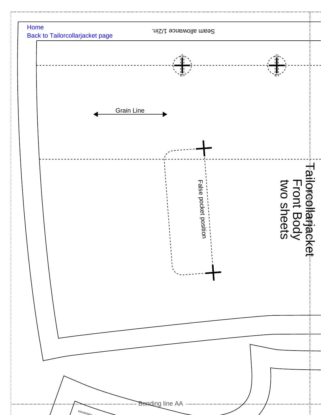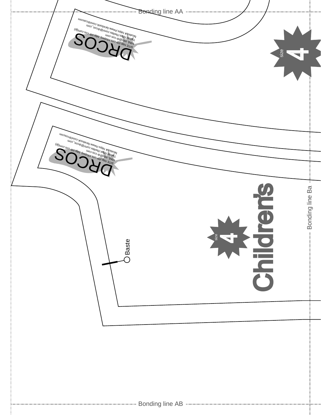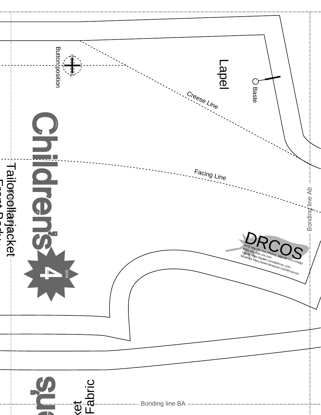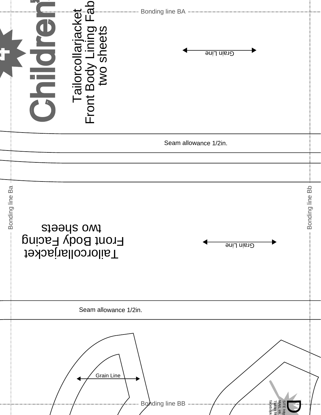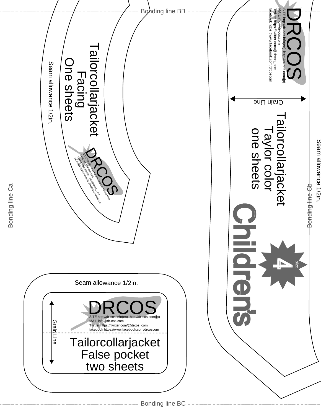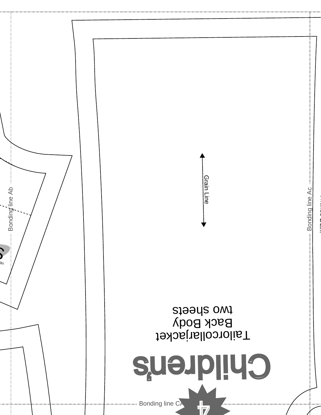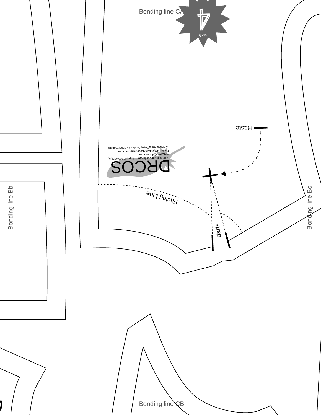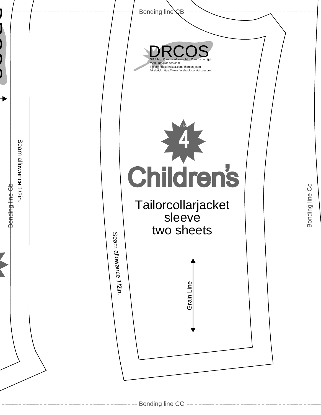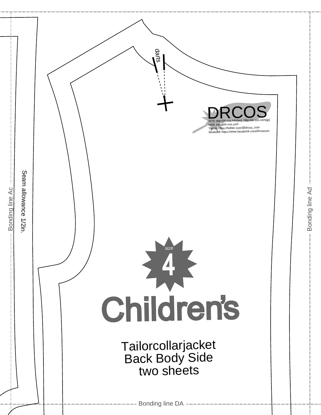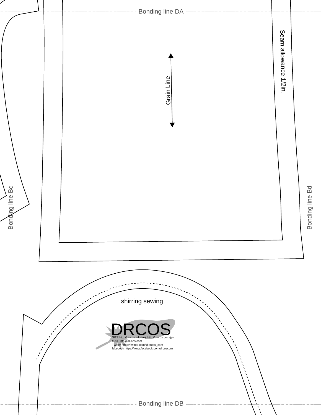